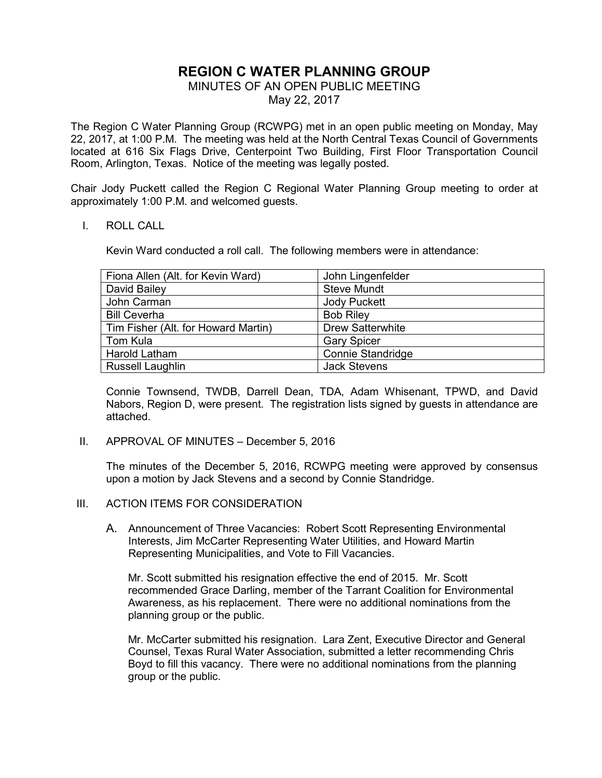# **REGION C WATER PLANNING GROUP**

### MINUTES OF AN OPEN PUBLIC MEETING May 22, 2017

The Region C Water Planning Group (RCWPG) met in an open public meeting on Monday, May 22, 2017, at 1:00 P.M. The meeting was held at the North Central Texas Council of Governments located at 616 Six Flags Drive, Centerpoint Two Building, First Floor Transportation Council Room, Arlington, Texas. Notice of the meeting was legally posted.

Chair Jody Puckett called the Region C Regional Water Planning Group meeting to order at approximately 1:00 P.M. and welcomed guests.

#### I. ROLL CALL

Kevin Ward conducted a roll call. The following members were in attendance:

| Fiona Allen (Alt. for Kevin Ward)   | John Lingenfelder        |
|-------------------------------------|--------------------------|
| David Bailey                        | <b>Steve Mundt</b>       |
| John Carman                         | <b>Jody Puckett</b>      |
| <b>Bill Ceverha</b>                 | <b>Bob Riley</b>         |
| Tim Fisher (Alt. for Howard Martin) | <b>Drew Satterwhite</b>  |
| Tom Kula                            | <b>Gary Spicer</b>       |
| Harold Latham                       | <b>Connie Standridge</b> |
| <b>Russell Laughlin</b>             | <b>Jack Stevens</b>      |

Connie Townsend, TWDB, Darrell Dean, TDA, Adam Whisenant, TPWD, and David Nabors, Region D, were present. The registration lists signed by guests in attendance are attached.

II. APPROVAL OF MINUTES – December 5, 2016

The minutes of the December 5, 2016, RCWPG meeting were approved by consensus upon a motion by Jack Stevens and a second by Connie Standridge.

- III. ACTION ITEMS FOR CONSIDERATION
	- A. Announcement of Three Vacancies: Robert Scott Representing Environmental Interests, Jim McCarter Representing Water Utilities, and Howard Martin Representing Municipalities, and Vote to Fill Vacancies.

Mr. Scott submitted his resignation effective the end of 2015. Mr. Scott recommended Grace Darling, member of the Tarrant Coalition for Environmental Awareness, as his replacement. There were no additional nominations from the planning group or the public.

Mr. McCarter submitted his resignation. Lara Zent, Executive Director and General Counsel, Texas Rural Water Association, submitted a letter recommending Chris Boyd to fill this vacancy. There were no additional nominations from the planning group or the public.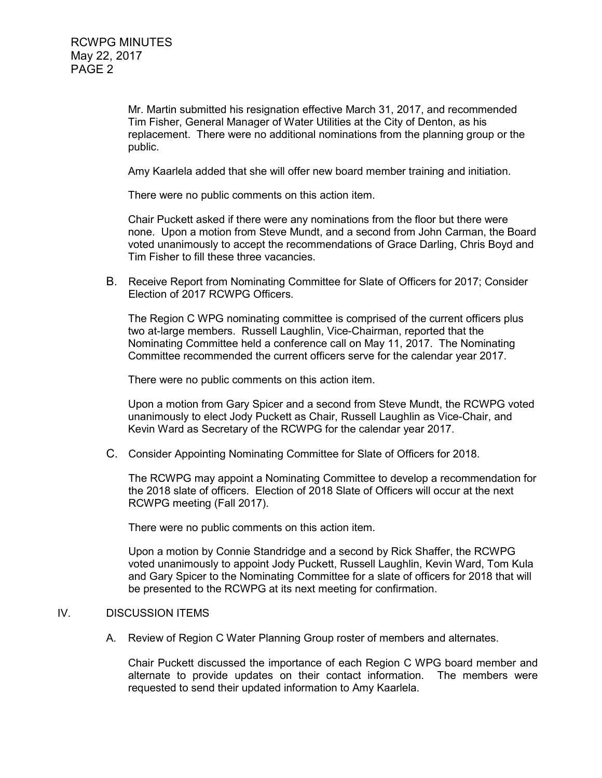Mr. Martin submitted his resignation effective March 31, 2017, and recommended Tim Fisher, General Manager of Water Utilities at the City of Denton, as his replacement. There were no additional nominations from the planning group or the public.

Amy Kaarlela added that she will offer new board member training and initiation.

There were no public comments on this action item.

Chair Puckett asked if there were any nominations from the floor but there were none. Upon a motion from Steve Mundt, and a second from John Carman, the Board voted unanimously to accept the recommendations of Grace Darling, Chris Boyd and Tim Fisher to fill these three vacancies.

B. Receive Report from Nominating Committee for Slate of Officers for 2017; Consider Election of 2017 RCWPG Officers.

The Region C WPG nominating committee is comprised of the current officers plus two at-large members. Russell Laughlin, Vice-Chairman, reported that the Nominating Committee held a conference call on May 11, 2017. The Nominating Committee recommended the current officers serve for the calendar year 2017.

There were no public comments on this action item.

Upon a motion from Gary Spicer and a second from Steve Mundt, the RCWPG voted unanimously to elect Jody Puckett as Chair, Russell Laughlin as Vice-Chair, and Kevin Ward as Secretary of the RCWPG for the calendar year 2017.

C. Consider Appointing Nominating Committee for Slate of Officers for 2018.

The RCWPG may appoint a Nominating Committee to develop a recommendation for the 2018 slate of officers. Election of 2018 Slate of Officers will occur at the next RCWPG meeting (Fall 2017).

There were no public comments on this action item.

Upon a motion by Connie Standridge and a second by Rick Shaffer, the RCWPG voted unanimously to appoint Jody Puckett, Russell Laughlin, Kevin Ward, Tom Kula and Gary Spicer to the Nominating Committee for a slate of officers for 2018 that will be presented to the RCWPG at its next meeting for confirmation.

#### IV. DISCUSSION ITEMS

A. Review of Region C Water Planning Group roster of members and alternates.

Chair Puckett discussed the importance of each Region C WPG board member and alternate to provide updates on their contact information. The members were requested to send their updated information to Amy Kaarlela.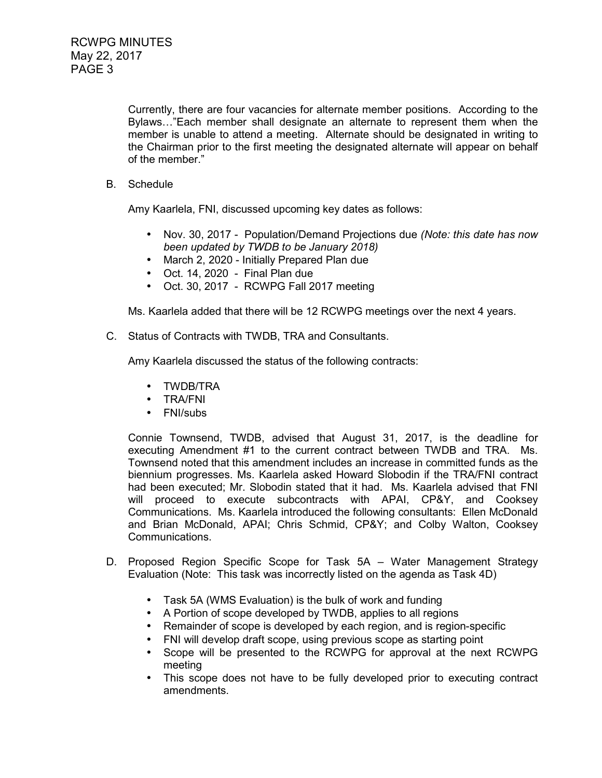Currently, there are four vacancies for alternate member positions. According to the Bylaws…"Each member shall designate an alternate to represent them when the member is unable to attend a meeting. Alternate should be designated in writing to the Chairman prior to the first meeting the designated alternate will appear on behalf of the member."

B. Schedule

Amy Kaarlela, FNI, discussed upcoming key dates as follows:

- Nov. 30, 2017 Population/Demand Projections due *(Note: this date has now been updated by TWDB to be January 2018)*
- March 2, 2020 Initially Prepared Plan due
- Oct. 14, 2020 Final Plan due
- Oct. 30, 2017 RCWPG Fall 2017 meeting

Ms. Kaarlela added that there will be 12 RCWPG meetings over the next 4 years.

C. Status of Contracts with TWDB, TRA and Consultants.

Amy Kaarlela discussed the status of the following contracts:

- TWDB/TRA
- TRA/FNI
- FNI/subs

 Connie Townsend, TWDB, advised that August 31, 2017, is the deadline for executing Amendment #1 to the current contract between TWDB and TRA. Ms. Townsend noted that this amendment includes an increase in committed funds as the biennium progresses. Ms. Kaarlela asked Howard Slobodin if the TRA/FNI contract had been executed; Mr. Slobodin stated that it had. Ms. Kaarlela advised that FNI will proceed to execute subcontracts with APAI, CP&Y, and Cooksey Communications. Ms. Kaarlela introduced the following consultants: Ellen McDonald and Brian McDonald, APAI; Chris Schmid, CP&Y; and Colby Walton, Cooksey Communications.

- D. Proposed Region Specific Scope for Task 5A Water Management Strategy Evaluation (Note: This task was incorrectly listed on the agenda as Task 4D)
	- Task 5A (WMS Evaluation) is the bulk of work and funding
	- A Portion of scope developed by TWDB, applies to all regions
	- Remainder of scope is developed by each region, and is region-specific
	- FNI will develop draft scope, using previous scope as starting point
	- Scope will be presented to the RCWPG for approval at the next RCWPG meeting
	- This scope does not have to be fully developed prior to executing contract amendments.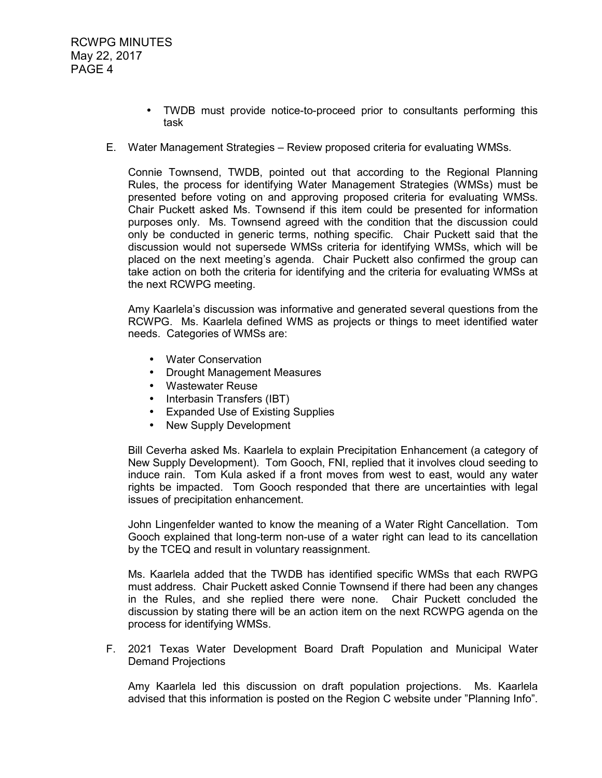- TWDB must provide notice-to-proceed prior to consultants performing this task
- E. Water Management Strategies Review proposed criteria for evaluating WMSs.

 Connie Townsend, TWDB, pointed out that according to the Regional Planning Rules, the process for identifying Water Management Strategies (WMSs) must be presented before voting on and approving proposed criteria for evaluating WMSs. Chair Puckett asked Ms. Townsend if this item could be presented for information purposes only. Ms. Townsend agreed with the condition that the discussion could only be conducted in generic terms, nothing specific. Chair Puckett said that the discussion would not supersede WMSs criteria for identifying WMSs, which will be placed on the next meeting's agenda. Chair Puckett also confirmed the group can take action on both the criteria for identifying and the criteria for evaluating WMSs at the next RCWPG meeting.

 Amy Kaarlela's discussion was informative and generated several questions from the RCWPG. Ms. Kaarlela defined WMS as projects or things to meet identified water needs. Categories of WMSs are:

- Water Conservation
- Drought Management Measures
- Wastewater Reuse
- Interbasin Transfers (IBT)
- Expanded Use of Existing Supplies
- New Supply Development

 Bill Ceverha asked Ms. Kaarlela to explain Precipitation Enhancement (a category of New Supply Development). Tom Gooch, FNI, replied that it involves cloud seeding to induce rain. Tom Kula asked if a front moves from west to east, would any water rights be impacted. Tom Gooch responded that there are uncertainties with legal issues of precipitation enhancement.

 John Lingenfelder wanted to know the meaning of a Water Right Cancellation. Tom Gooch explained that long-term non-use of a water right can lead to its cancellation by the TCEQ and result in voluntary reassignment.

 Ms. Kaarlela added that the TWDB has identified specific WMSs that each RWPG must address. Chair Puckett asked Connie Townsend if there had been any changes in the Rules, and she replied there were none. Chair Puckett concluded the discussion by stating there will be an action item on the next RCWPG agenda on the process for identifying WMSs.

F. 2021 Texas Water Development Board Draft Population and Municipal Water Demand Projections

 Amy Kaarlela led this discussion on draft population projections. Ms. Kaarlela advised that this information is posted on the Region C website under "Planning Info".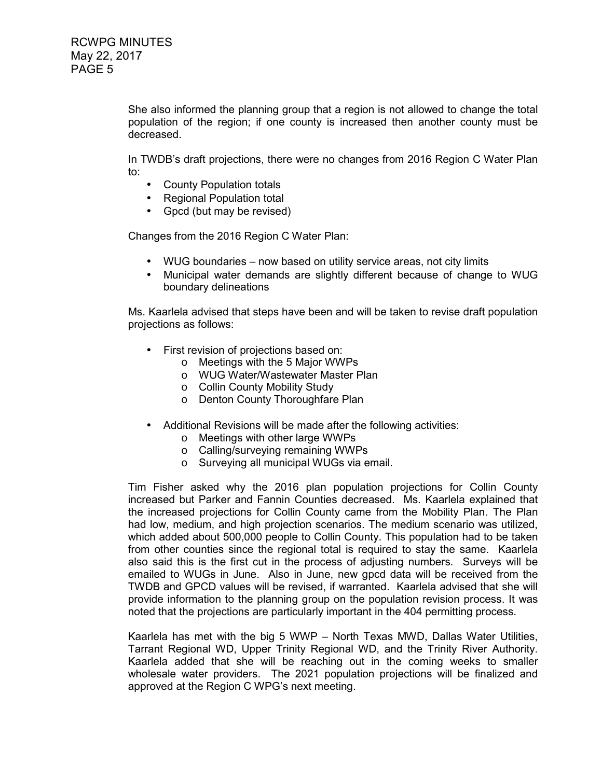She also informed the planning group that a region is not allowed to change the total population of the region; if one county is increased then another county must be decreased.

 In TWDB's draft projections, there were no changes from 2016 Region C Water Plan to:

- County Population totals
- Regional Population total
- Gpcd (but may be revised)

Changes from the 2016 Region C Water Plan:

- WUG boundaries now based on utility service areas, not city limits
- Municipal water demands are slightly different because of change to WUG boundary delineations

 Ms. Kaarlela advised that steps have been and will be taken to revise draft population projections as follows:

- First revision of projections based on:
	- o Meetings with the 5 Major WWPs
	- o WUG Water/Wastewater Master Plan
	- o Collin County Mobility Study
	- o Denton County Thoroughfare Plan
- Additional Revisions will be made after the following activities:
	- o Meetings with other large WWPs
	- o Calling/surveying remaining WWPs
	- o Surveying all municipal WUGs via email.

 Tim Fisher asked why the 2016 plan population projections for Collin County increased but Parker and Fannin Counties decreased. Ms. Kaarlela explained that the increased projections for Collin County came from the Mobility Plan. The Plan had low, medium, and high projection scenarios. The medium scenario was utilized, which added about 500,000 people to Collin County. This population had to be taken from other counties since the regional total is required to stay the same. Kaarlela also said this is the first cut in the process of adjusting numbers. Surveys will be emailed to WUGs in June. Also in June, new gpcd data will be received from the TWDB and GPCD values will be revised, if warranted. Kaarlela advised that she will provide information to the planning group on the population revision process. It was noted that the projections are particularly important in the 404 permitting process.

 Kaarlela has met with the big 5 WWP – North Texas MWD, Dallas Water Utilities, Tarrant Regional WD, Upper Trinity Regional WD, and the Trinity River Authority. Kaarlela added that she will be reaching out in the coming weeks to smaller wholesale water providers. The 2021 population projections will be finalized and approved at the Region C WPG's next meeting.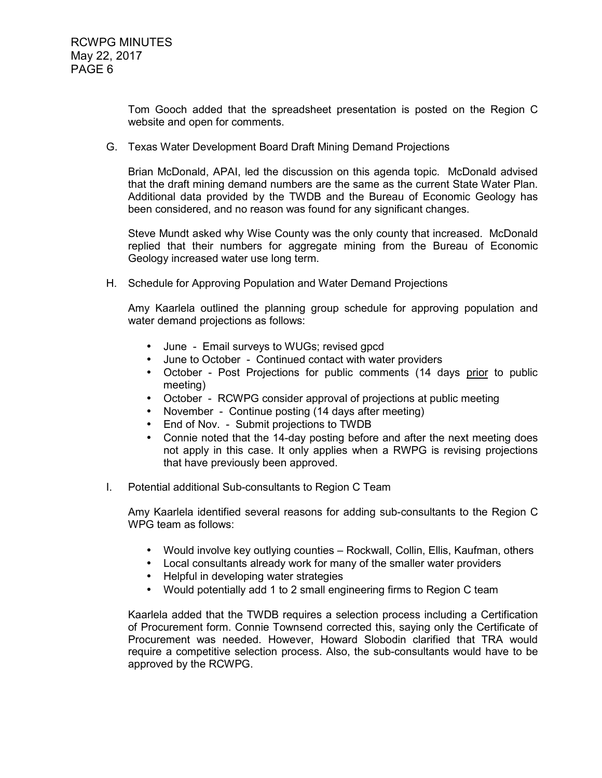Tom Gooch added that the spreadsheet presentation is posted on the Region C website and open for comments.

G. Texas Water Development Board Draft Mining Demand Projections

 Brian McDonald, APAI, led the discussion on this agenda topic. McDonald advised that the draft mining demand numbers are the same as the current State Water Plan. Additional data provided by the TWDB and the Bureau of Economic Geology has been considered, and no reason was found for any significant changes.

 Steve Mundt asked why Wise County was the only county that increased. McDonald replied that their numbers for aggregate mining from the Bureau of Economic Geology increased water use long term.

H. Schedule for Approving Population and Water Demand Projections

 Amy Kaarlela outlined the planning group schedule for approving population and water demand projections as follows:

- June Email surveys to WUGs; revised gpcd
- June to October Continued contact with water providers
- October Post Projections for public comments (14 days prior to public meeting)
- October RCWPG consider approval of projections at public meeting
- November Continue posting (14 days after meeting)
- End of Nov. Submit projections to TWDB
- Connie noted that the 14-day posting before and after the next meeting does not apply in this case. It only applies when a RWPG is revising projections that have previously been approved.
- I. Potential additional Sub-consultants to Region C Team

 Amy Kaarlela identified several reasons for adding sub-consultants to the Region C WPG team as follows:

- Would involve key outlying counties Rockwall, Collin, Ellis, Kaufman, others
- Local consultants already work for many of the smaller water providers
- Helpful in developing water strategies
- Would potentially add 1 to 2 small engineering firms to Region C team

Kaarlela added that the TWDB requires a selection process including a Certification of Procurement form. Connie Townsend corrected this, saying only the Certificate of Procurement was needed. However, Howard Slobodin clarified that TRA would require a competitive selection process. Also, the sub-consultants would have to be approved by the RCWPG.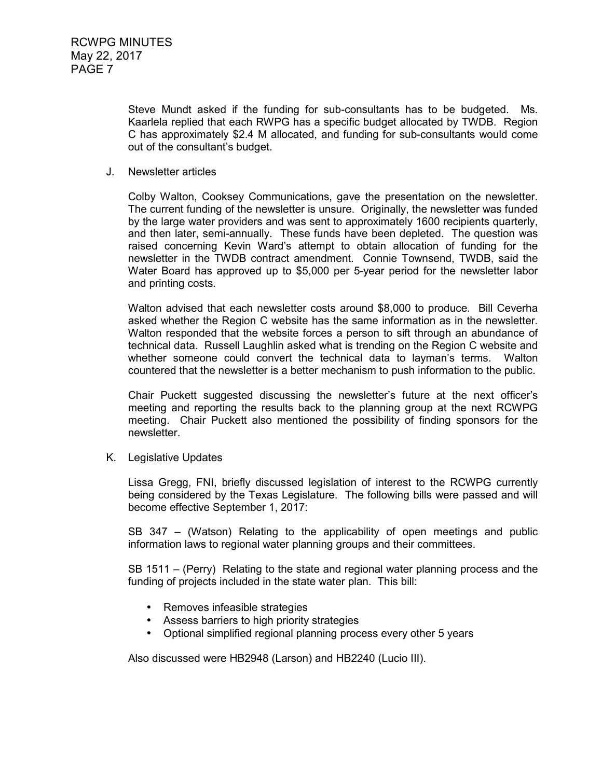Steve Mundt asked if the funding for sub-consultants has to be budgeted. Ms. Kaarlela replied that each RWPG has a specific budget allocated by TWDB. Region C has approximately \$2.4 M allocated, and funding for sub-consultants would come out of the consultant's budget.

J. Newsletter articles

 Colby Walton, Cooksey Communications, gave the presentation on the newsletter. The current funding of the newsletter is unsure. Originally, the newsletter was funded by the large water providers and was sent to approximately 1600 recipients quarterly, and then later, semi-annually. These funds have been depleted. The question was raised concerning Kevin Ward's attempt to obtain allocation of funding for the newsletter in the TWDB contract amendment. Connie Townsend, TWDB, said the Water Board has approved up to \$5,000 per 5-year period for the newsletter labor and printing costs.

 Walton advised that each newsletter costs around \$8,000 to produce. Bill Ceverha asked whether the Region C website has the same information as in the newsletter. Walton responded that the website forces a person to sift through an abundance of technical data. Russell Laughlin asked what is trending on the Region C website and whether someone could convert the technical data to layman's terms. Walton countered that the newsletter is a better mechanism to push information to the public.

 Chair Puckett suggested discussing the newsletter's future at the next officer's meeting and reporting the results back to the planning group at the next RCWPG meeting. Chair Puckett also mentioned the possibility of finding sponsors for the newsletter.

K. Legislative Updates

 Lissa Gregg, FNI, briefly discussed legislation of interest to the RCWPG currently being considered by the Texas Legislature. The following bills were passed and will become effective September 1, 2017:

SB 347 – (Watson) Relating to the applicability of open meetings and public information laws to regional water planning groups and their committees.

 SB 1511 – (Perry) Relating to the state and regional water planning process and the funding of projects included in the state water plan. This bill:

- Removes infeasible strategies
- Assess barriers to high priority strategies
- Optional simplified regional planning process every other 5 years

Also discussed were HB2948 (Larson) and HB2240 (Lucio III).